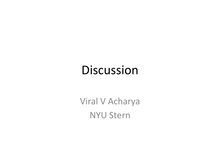#### Discussion

Viral V Acharya **NYU Stern**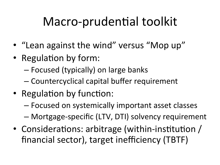#### Macro-prudential toolkit

- "Lean against the wind" versus "Mop up"
- Regulation by form:
	- Focused (typically) on large banks
	- Countercyclical capital buffer requirement
- Regulation by function:
	- $-$  Focused on systemically important asset classes
	- Mortgage-specific (LTV, DTI) solvency requirement
- Considerations: arbitrage (within-institution / financial sector), target inefficiency (TBTF)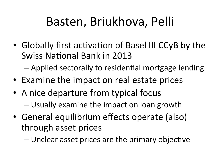## Basten, Briukhova, Pelli

• Globally first activation of Basel III CCyB by the Swiss National Bank in 2013

– Applied sectorally to residential mortgage lending

- Examine the impact on real estate prices
- A nice departure from typical focus  $-$  Usually examine the impact on loan growth
- General equilibrium effects operate (also) through asset prices

– Unclear asset prices are the primary objective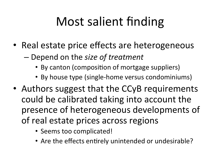# Most salient finding

- Real estate price effects are heterogeneous
	- Depend on the *size of treatment* 
		- By canton (composition of mortgage suppliers)
		- By house type (single-home versus condominiums)
- Authors suggest that the CCyB requirements could be calibrated taking into account the presence of heterogeneous developments of of real estate prices across regions
	- Seems too complicated!
	- Are the effects entirely unintended or undesirable?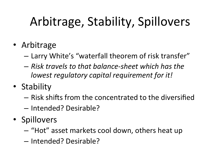# Arbitrage, Stability, Spillovers

- Arbitrage
	- Larry White's "waterfall theorem of risk transfer"
	- $-$  *Risk travels to that balance-sheet which has the lowest regulatory capital requirement for it!*
- Stability
	- $-$  Risk shifts from the concentrated to the diversified
	- Intended? Desirable?
- Spillovers
	- $-$  "Hot" asset markets cool down, others heat up
	- Intended? Desirable?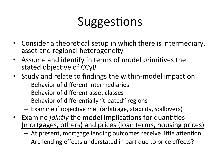## Suggestions

- Consider a theoretical setup in which there is intermediary, asset and regional heterogeneity
- Assume and identify in terms of model primitives the stated objective of CCyB
- Study and relate to findings the within-model impact on
	- $-$  Behavior of different intermediaries
	- Behavior of different asset classes
	- $-$  Behavior of differentially "treated" regions
	- Examine if objective met (arbitrage, stability, spillovers)
- Examine *jointly* the model implications for quantities (mortgages, others) and prices (loan terms, housing prices)
	- $-$  At present, mortgage lending outcomes receive little attention
	- $-$  Are lending effects understated in part due to price effects?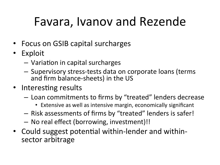## Favara, Ivanov and Rezende

- Focus on GSIB capital surcharges
- Exploit
	- $-$  Variation in capital surcharges
	- Supervisory stress-tests data on corporate loans (terms and firm balance-sheets) in the US
- Interesting results
	- Loan commitments to firms by "treated" lenders decrease
		- Extensive as well as intensive margin, economically significant
	- $-$  Risk assessments of firms by "treated" lenders is safer!
	- No real effect (borrowing, investment)!!
- Could suggest potential within-lender and withinsector arbitrage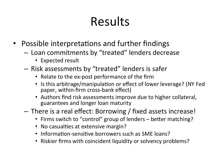## Results

- Possible interpretations and further findings
	- $-$  Loan commitments by "treated" lenders decrease
		- Expected result
	- $-$  Risk assessments by "treated" lenders is safer
		- Relate to the ex-post performance of the firm
		- Is this arbitrage/manipulation or effect of lower leverage? (NY Fed paper, within-firm cross-bank effect)
		- Authors find risk assessments improve due to higher collateral, guarantees and longer loan maturity
	- $-$  There is a real effect: Borrowing / fixed assets increase!
		- Firms switch to "control" group of lenders better matching?
		- No casualties at extensive margin?
		- Information-sensitive borrowers such as SME loans?
		- Riskier firms with coincident liquidity or solvency problems?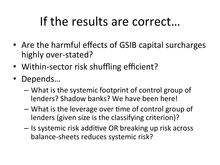#### If the results are correct...

- Are the harmful effects of GSIB capital surcharges highly over-stated?
- Within-sector risk shuffling efficient?
- Depends…
	- What is the systemic footprint of control group of lenders? Shadow banks? We have been here!
	- What is the leverage over time of control group of lenders (given size is the classifying criterion)?
	- $-$  Is systemic risk additive OR breaking up risk across balance-sheets reduces systemic risk?